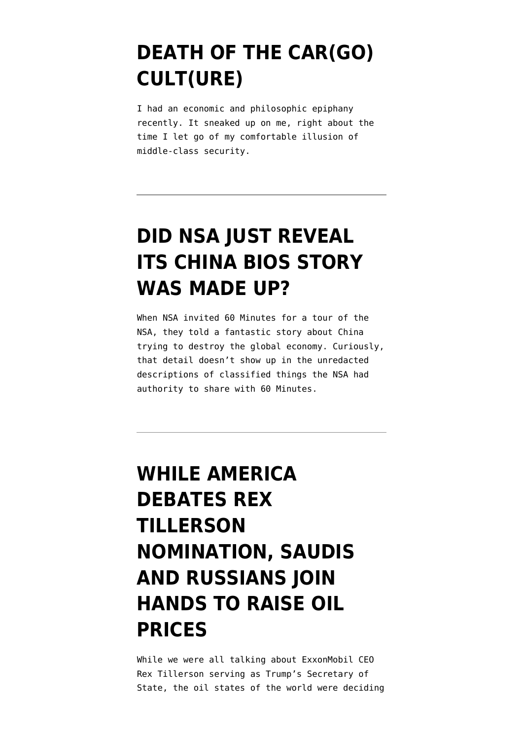# **[DEATH OF THE CAR\(GO\)](https://www.emptywheel.net/2017/07/06/death-of-the-cargo-culture/) [CULT\(URE\)](https://www.emptywheel.net/2017/07/06/death-of-the-cargo-culture/)**

I had an economic and philosophic epiphany recently. It sneaked up on me, right about the time I let go of my comfortable illusion of middle-class security.

# **[DID NSA JUST REVEAL](https://www.emptywheel.net/2017/01/04/did-nsa-just-reveal-its-china-bios-story-was-made-up/) [ITS CHINA BIOS STORY](https://www.emptywheel.net/2017/01/04/did-nsa-just-reveal-its-china-bios-story-was-made-up/) [WAS MADE UP?](https://www.emptywheel.net/2017/01/04/did-nsa-just-reveal-its-china-bios-story-was-made-up/)**

When NSA invited 60 Minutes for a tour of the NSA, they told a fantastic story about China trying to destroy the global economy. Curiously, that detail doesn't show up in the unredacted descriptions of classified things the NSA had authority to share with 60 Minutes.

# **[WHILE AMERICA](https://www.emptywheel.net/2016/12/11/america-debates-tillerson-nomination-saudis-russians-join-hands-raise-oil-prices/) [DEBATES REX](https://www.emptywheel.net/2016/12/11/america-debates-tillerson-nomination-saudis-russians-join-hands-raise-oil-prices/) [TILLERSON](https://www.emptywheel.net/2016/12/11/america-debates-tillerson-nomination-saudis-russians-join-hands-raise-oil-prices/) [NOMINATION, SAUDIS](https://www.emptywheel.net/2016/12/11/america-debates-tillerson-nomination-saudis-russians-join-hands-raise-oil-prices/) [AND RUSSIANS JOIN](https://www.emptywheel.net/2016/12/11/america-debates-tillerson-nomination-saudis-russians-join-hands-raise-oil-prices/) [HANDS TO RAISE OIL](https://www.emptywheel.net/2016/12/11/america-debates-tillerson-nomination-saudis-russians-join-hands-raise-oil-prices/) [PRICES](https://www.emptywheel.net/2016/12/11/america-debates-tillerson-nomination-saudis-russians-join-hands-raise-oil-prices/)**

While we were all talking about ExxonMobil CEO Rex Tillerson serving as Trump's Secretary of State, the oil states of the world were deciding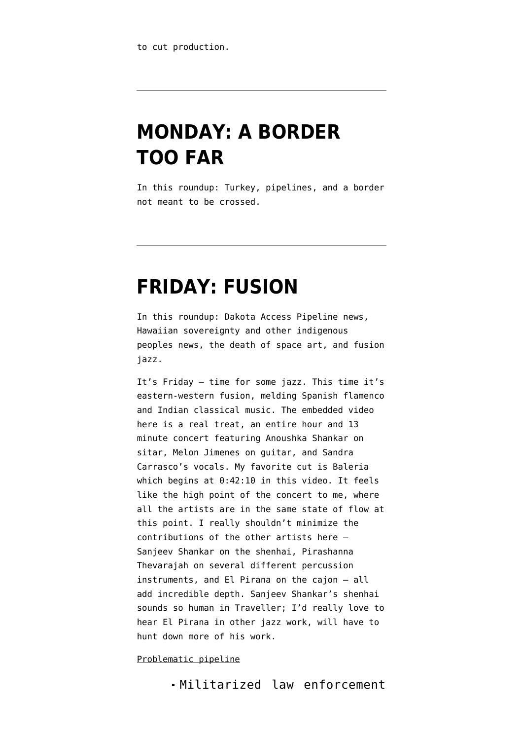# **[MONDAY: A BORDER](https://www.emptywheel.net/2016/11/07/monday-border-far/) [TOO FAR](https://www.emptywheel.net/2016/11/07/monday-border-far/)**

In this roundup: Turkey, pipelines, and a border not meant to be crossed.

## **[FRIDAY: FUSION](https://www.emptywheel.net/2016/09/30/friday-fusion/)**

In this roundup: Dakota Access Pipeline news, Hawaiian sovereignty and other indigenous peoples news, the death of space art, and fusion jazz.

It's Friday — time for some jazz. This time it's eastern-western fusion, melding Spanish flamenco and Indian classical music. The embedded video here is a real treat, an entire hour and 13 minute concert featuring Anoushka Shankar on sitar, Melon Jimenes on guitar, and Sandra Carrasco's vocals. My favorite cut is Baleria which begins at 0:42:10 in this video. It feels like the high point of the concert to me, where all the artists are in the same state of flow at this point. I really shouldn't minimize the contributions of the other artists here — Sanjeev Shankar on the shenhai, Pirashanna Thevarajah on several different percussion instruments, and El Pirana on the cajon — all add incredible depth. Sanjeev Shankar's shenhai sounds so human in Traveller; I'd really love to hear El Pirana in other jazz work, will have to hunt down more of his work.

### Problematic pipeline

[Militarized law enforcement](http://indiancountrytodaymedianetwork.com/2016/09/29/water-protectors-rounded-after-prayers-dapl-construction-site-165940)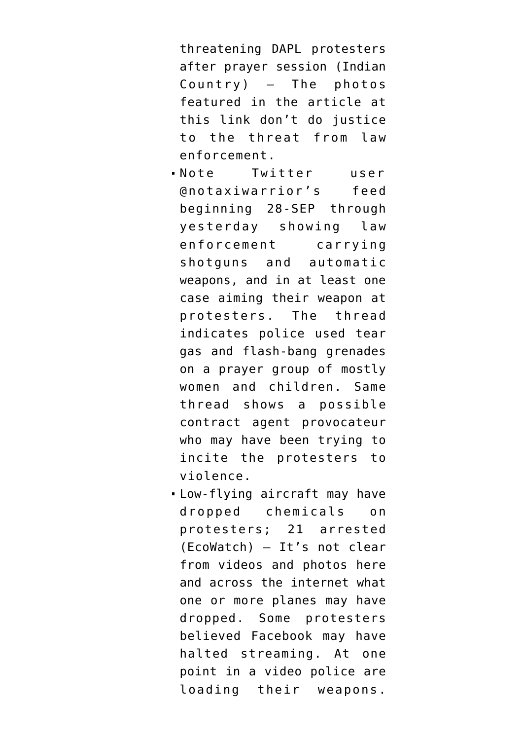[threatening DAPL protesters](http://indiancountrytodaymedianetwork.com/2016/09/29/water-protectors-rounded-after-prayers-dapl-construction-site-165940) [after prayer session](http://indiancountrytodaymedianetwork.com/2016/09/29/water-protectors-rounded-after-prayers-dapl-construction-site-165940) (Indian Country) — The photos featured in the article at this link don't do justice to the threat from law enforcement.

- Note Twitter user [@notaxiwarrior's feed](https://twitter.com/notaxiwarrior/status/781303580997263361) beginning 28-SEP through yesterday showing law enforcement carrying shotguns and automatic weapons, and in at least one case [aiming their weapon](https://twitter.com/notaxiwarrior/status/781727025417420800) at protesters. The thread indicates police used tear gas and flash-bang grenades on a prayer group of mostly women and children. Same thread shows a possible contract agent provocateur who may have been trying to incite the protesters to violence.
- [Low-flying aircraft may have](http://www.ecowatch.com/arrests-dakota-access-pipeline-2022534609.html) [dropped chemicals on](http://www.ecowatch.com/arrests-dakota-access-pipeline-2022534609.html) [protesters; 21 arrested](http://www.ecowatch.com/arrests-dakota-access-pipeline-2022534609.html) (EcoWatch) — It's not clear from videos and photos here and across the internet what one or more planes may have dropped. Some protesters believed Facebook may have halted streaming. At one point in a video police are loading their weapons.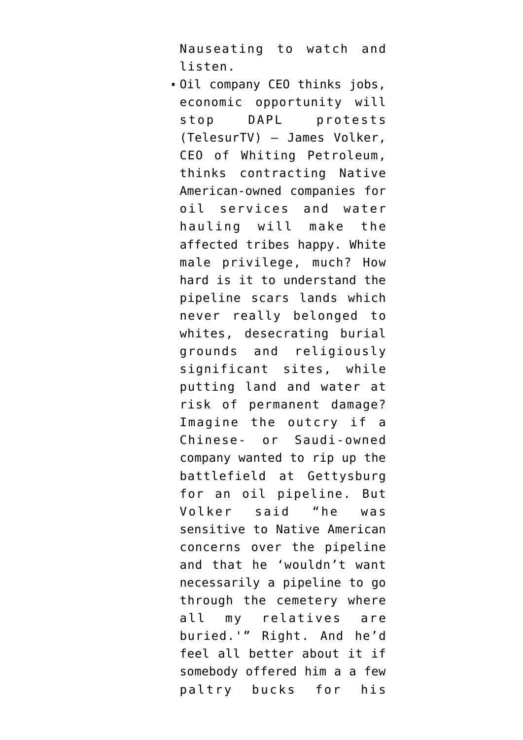Nauseating to watch and listen.

[Oil company CEO thinks jobs,](http://www.telesurtv.net/english/news/Oil-CEO-Says-Bribing-Native-Americans-Will-Stop-Dakota-Protests-20160929-0002.html) [economic opportunity will](http://www.telesurtv.net/english/news/Oil-CEO-Says-Bribing-Native-Americans-Will-Stop-Dakota-Protests-20160929-0002.html) [stop DAPL protests](http://www.telesurtv.net/english/news/Oil-CEO-Says-Bribing-Native-Americans-Will-Stop-Dakota-Protests-20160929-0002.html) (TelesurTV) — James Volker, CEO of Whiting Petroleum, thinks contracting Native American-owned companies for oil services and water hauling will make the affected tribes happy. White male privilege, much? How hard is it to understand the pipeline scars lands which never really belonged to whites, desecrating burial grounds and religiously significant sites, while putting land and water at risk of permanent damage? Imagine the outcry if a Chinese- or Saudi-owned company wanted to rip up the battlefield at Gettysburg for an oil pipeline. But Volker said "he was sensitive to Native American concerns over the pipeline and that he 'wouldn't want necessarily a pipeline to go through the cemetery where all my relatives are buried.'" Right. And he'd feel all better about it if somebody offered him a a few paltry bucks for his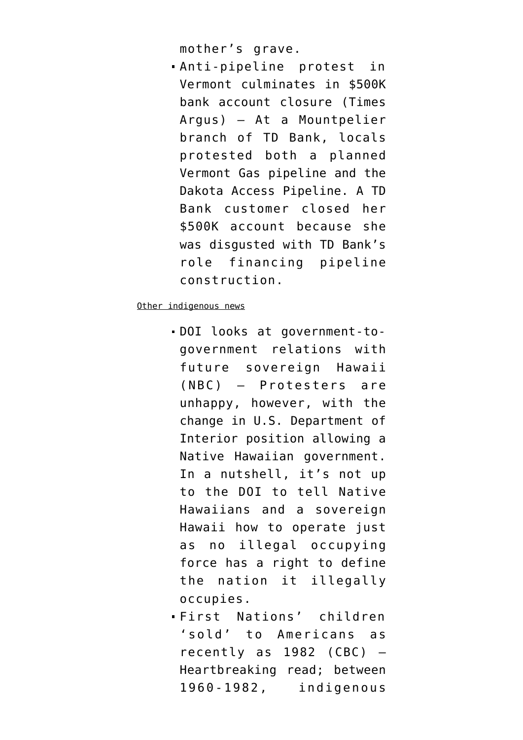mother's grave.

[Anti-pipeline protest in](http://www.timesargus.com/article/20160929/NEWS01/160929586/1003) [Vermont culminates in \\$500K](http://www.timesargus.com/article/20160929/NEWS01/160929586/1003) [bank account closure](http://www.timesargus.com/article/20160929/NEWS01/160929586/1003) (Times Argus) — At a Mountpelier branch of TD Bank, locals protested both a planned Vermont Gas pipeline and the Dakota Access Pipeline. A TD Bank customer closed her \$500K account because she was disgusted with TD Bank's role financing pipeline construction.

### Other indigenous news

- [DOI looks at government-to](http://www.nbcnews.com/news/asian-america/some-protest-us-rule-recognition-native-hawaiian-government-n654501)[government relations with](http://www.nbcnews.com/news/asian-america/some-protest-us-rule-recognition-native-hawaiian-government-n654501) [future sovereign Hawaii](http://www.nbcnews.com/news/asian-america/some-protest-us-rule-recognition-native-hawaiian-government-n654501) (NBC) — Protesters are unhappy, however, with the change in U.S. Department of Interior position allowing a Native Hawaiian government. In a nutshell, it's not up to the DOI to tell Native Hawaiians and a sovereign Hawaii how to operate just as no illegal occupying force has a right to define the nation it illegally occupies.
- [First Nations' children](http://www.cbc.ca/news/canada/manitoba/sixties-scoop-americans-paid-thousands-indigenous-children-1.3781622) ['sold' to Americans as](http://www.cbc.ca/news/canada/manitoba/sixties-scoop-americans-paid-thousands-indigenous-children-1.3781622) [recently as 1982](http://www.cbc.ca/news/canada/manitoba/sixties-scoop-americans-paid-thousands-indigenous-children-1.3781622) (CBC) — Heartbreaking read; between 1960-1982, indigenous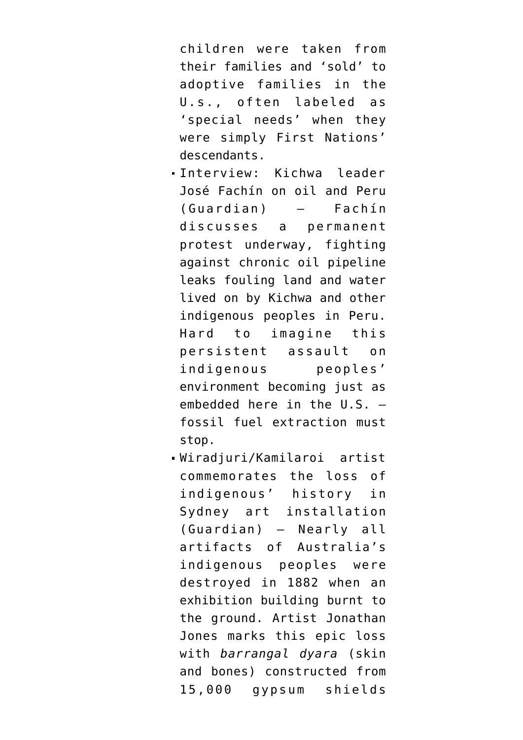children were taken from their families and 'sold' to adoptive families in the U.s., often labeled as 'special needs' when they were simply First Nations' descendants.

- [Interview: Kichwa leader](https://www.theguardian.com/environment/andes-to-the-amazon/2016/sep/27/perus-president-amazon-indigenous-protestors) [José Fachín on oil and Peru](https://www.theguardian.com/environment/andes-to-the-amazon/2016/sep/27/perus-president-amazon-indigenous-protestors) (Guardian) — Fachín discusses a permanent protest underway, fighting against chronic oil pipeline leaks fouling land and water lived on by Kichwa and other indigenous peoples in Peru. Hard to imagine this persistent assault on indigenous peoples' environment becoming just as embedded here in the U.S. fossil fuel extraction must stop.
- [Wiradjuri/Kamilaroi artist](https://www.theguardian.com/artanddesign/2016/sep/30/lost-in-the-flames-sydneys-garden-palace-resurrected-through-indigenous-eyes) [commemorates the loss of](https://www.theguardian.com/artanddesign/2016/sep/30/lost-in-the-flames-sydneys-garden-palace-resurrected-through-indigenous-eyes) [indigenous' history in](https://www.theguardian.com/artanddesign/2016/sep/30/lost-in-the-flames-sydneys-garden-palace-resurrected-through-indigenous-eyes) [Sydney art installation](https://www.theguardian.com/artanddesign/2016/sep/30/lost-in-the-flames-sydneys-garden-palace-resurrected-through-indigenous-eyes) (Guardian) — Nearly all artifacts of Australia's indigenous peoples were destroyed in 1882 when an exhibition building burnt to the ground. Artist Jonathan Jones marks this epic loss with *barrangal dyara* (skin and bones) constructed from 15,000 gypsum shields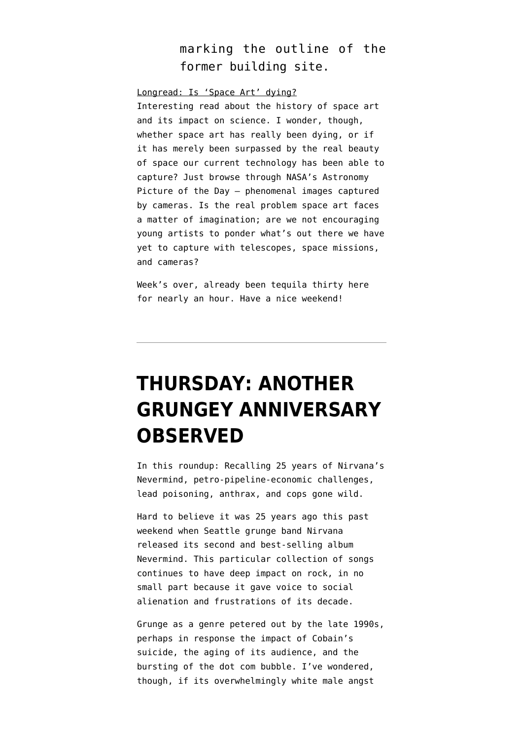### marking the outline of the former building site.

### Longread: Is 'Space Art' dying?

[Interesting read about the history of space art](https://blog.longreads.com/2016/09/20/space-art-propelled-scientific-exploration-of-the-cosmos-but-its-star-is-fading-fast/) [and its impact on science.](https://blog.longreads.com/2016/09/20/space-art-propelled-scientific-exploration-of-the-cosmos-but-its-star-is-fading-fast/) I wonder, though, whether space art has really been dying, or if it has merely been surpassed by the real beauty of space our current technology has been able to capture? Just browse through NASA's [Astronomy](http://apod.nasa.gov/apod/astropix.html) [Picture of the Day](http://apod.nasa.gov/apod/astropix.html) — phenomenal images captured by cameras. Is the real problem space art faces a matter of imagination; are we not encouraging young artists to ponder what's out there we have yet to capture with telescopes, space missions, and cameras?

Week's over, already been tequila thirty here for nearly an hour. Have a nice weekend!

# **[THURSDAY: ANOTHER](https://www.emptywheel.net/2016/09/29/thursday-another-grungey-anniversary-observed/) [GRUNGEY ANNIVERSARY](https://www.emptywheel.net/2016/09/29/thursday-another-grungey-anniversary-observed/) [OBSERVED](https://www.emptywheel.net/2016/09/29/thursday-another-grungey-anniversary-observed/)**

In this roundup: Recalling 25 years of Nirvana's Nevermind, petro-pipeline-economic challenges, lead poisoning, anthrax, and cops gone wild.

Hard to believe it was [25 years ago this past](https://youtu.be/gKg9xT3bZ7o) [weekend](https://youtu.be/gKg9xT3bZ7o) when Seattle grunge band Nirvana released its second and best-selling album Nevermind. This particular collection of songs continues to have deep impact on rock, in no small part because it gave voice to social alienation and frustrations of its decade.

Grunge as a genre petered out by the late 1990s, perhaps in response the impact of Cobain's suicide, the aging of its audience, and the bursting of the dot com bubble. I've wondered, though, if its overwhelmingly white male angst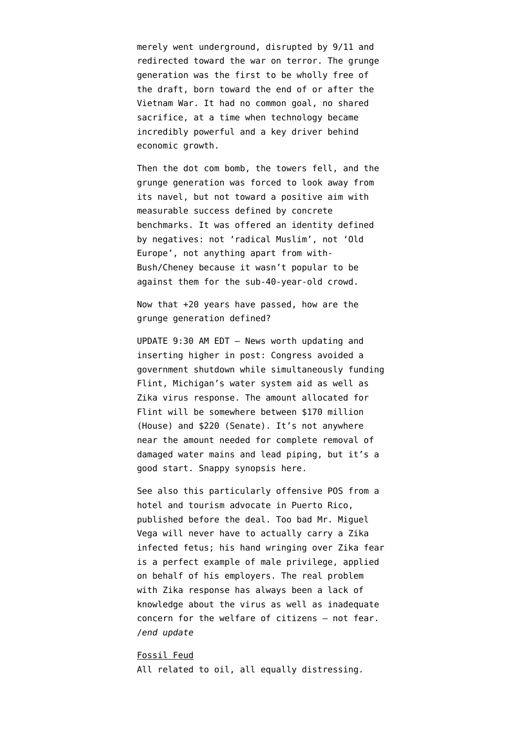merely went underground, disrupted by 9/11 and redirected toward the war on terror. The grunge generation was the first to be wholly free of the draft, born toward the end of or after the Vietnam War. It had no common goal, no shared sacrifice, at a time when technology became incredibly powerful and a key driver behind economic growth.

Then the dot com bomb, the towers fell, and the grunge generation was forced to look away from its navel, but not toward a positive aim with measurable success defined by concrete benchmarks. It was offered an identity defined by negatives: not 'radical Muslim', not 'Old Europe', not anything apart from with-Bush/Cheney because it wasn't popular to be against them for the sub-40-year-old crowd.

Now that +20 years have passed, how are the grunge generation defined?

UPDATE 9:30 AM EDT — News worth updating and inserting higher in post: Congress avoided a government shutdown while simultaneously funding Flint, Michigan's water system aid as well as Zika virus response. The amount allocated for Flint will be somewhere between \$170 million (House) and \$220 (Senate). It's not anywhere near the amount needed for complete removal of damaged water mains and lead piping, but it's a good start. [Snappy synopsis here.](http://www.graydc.com/content/news/Flint-water-deal-averts-government-shutdown-395200951.html)

See also this [particularly offensive POS](http://origin-nyi.thehill.com/opinion/letters/298387-stick-with-the-facts-not-fear-in-debate-over-funding-to-fight-zika) from a hotel and tourism advocate in Puerto Rico, published before the deal. Too bad Mr. Miguel Vega will never have to actually carry a Zika infected fetus; his hand wringing over Zika fear is a perfect example of male privilege, applied on behalf of his employers. The real problem with Zika response has always been a lack of knowledge about the virus as well as inadequate concern for the welfare of citizens — not fear. /*end update*

Fossil Feud All related to oil, all equally distressing.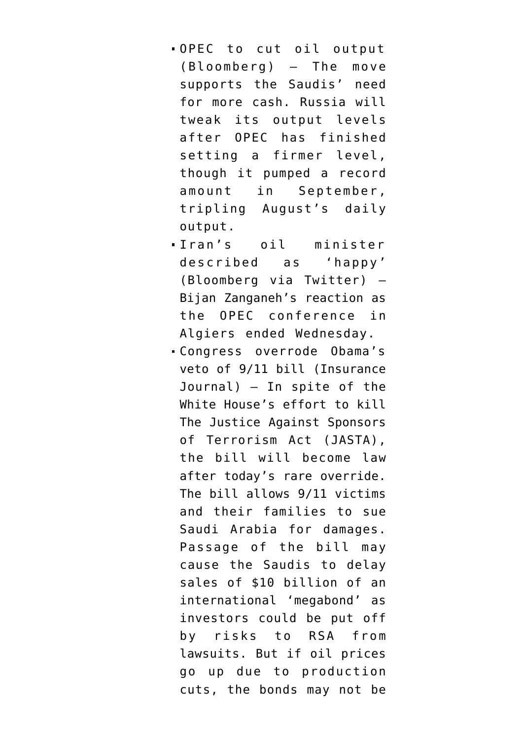- [OPEC to cut oil output](https://www.bloomberg.com/news/articles/2016-09-28/opec-said-to-agree-on-first-oil-output-cut-in-eight-years) (Bloomberg) — The move supports the Saudis' need for more cash. Russia will tweak its output levels after OPEC has finished setting a firmer level, though it pumped a record amount in September, tripling August's daily output.
- [Iran's oil minister](https://twitter.com/JavierBlas2/status/781224629209890816) [described as 'happy'](https://twitter.com/JavierBlas2/status/781224629209890816) (Bloomberg via Twitter) — Bijan Zanganeh's reaction as the OPEC conference in Algiers ended Wednesday.
- [Congress overrode Obama's](http://www.insurancejournal.com/news/national/2016/09/28/427746.htm) [veto of 9/11 bill](http://www.insurancejournal.com/news/national/2016/09/28/427746.htm) (Insurance Journal) — In spite of the White House's effort to kill The Justice Against Sponsors of Terrorism Act (JASTA), the bill will become law after today's rare override. The bill allows 9/11 victims and their families to sue Saudi Arabia for damages. Passage of the bill may cause the Saudis to delay sales of \$10 billion of an international 'megabond' as investors could be put off by risks to RSA from lawsuits. But if oil prices go up due to production cuts, the bonds may not be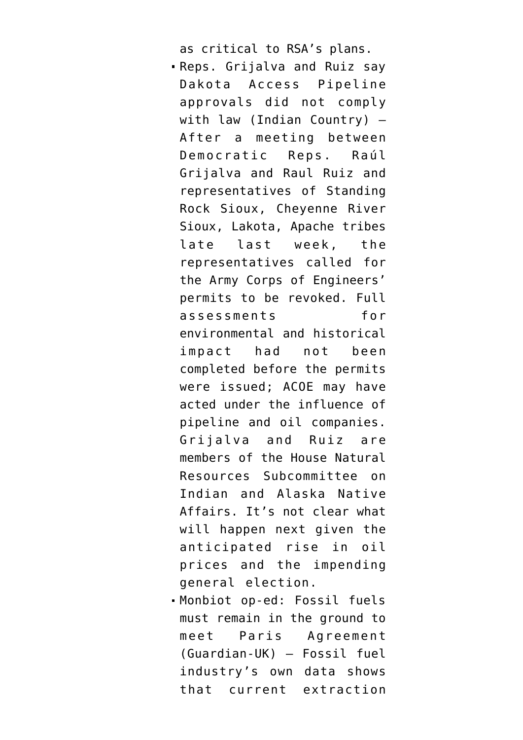as critical to RSA's plans.

- [Reps. Grijalva and Ruiz say](http://indiancountrytodaymedianetwork.com/2016/09/27/house-democrats-call-new-dapl-permitting-process-after-2-hour-forum-dc-165923) [Dakota Access Pipeline](http://indiancountrytodaymedianetwork.com/2016/09/27/house-democrats-call-new-dapl-permitting-process-after-2-hour-forum-dc-165923) [approvals did not comply](http://indiancountrytodaymedianetwork.com/2016/09/27/house-democrats-call-new-dapl-permitting-process-after-2-hour-forum-dc-165923) [with law](http://indiancountrytodaymedianetwork.com/2016/09/27/house-democrats-call-new-dapl-permitting-process-after-2-hour-forum-dc-165923) (Indian Country) — After a meeting between Democratic Reps. Raúl Grijalva and Raul Ruiz and representatives of Standing Rock Sioux, Cheyenne River Sioux, Lakota, Apache tribes late last week, the representatives called for the Army Corps of Engineers' permits to be revoked. Full assessments for environmental and historical impact had not been completed before the permits were issued; ACOE may have acted under the influence of pipeline and oil companies. Grijalva and Ruiz are members of the House Natural Resources Subcommittee on Indian and Alaska Native Affairs. It's not clear what will happen next given the anticipated rise in oil prices and the impending general election.
- [Monbiot op-ed: Fossil fuels](https://www.theguardian.com/commentisfree/2016/sep/27/fracking-digging-drilling-paris-agreement-fossil-fuels) [must remain in the ground to](https://www.theguardian.com/commentisfree/2016/sep/27/fracking-digging-drilling-paris-agreement-fossil-fuels) [meet Paris Agreement](https://www.theguardian.com/commentisfree/2016/sep/27/fracking-digging-drilling-paris-agreement-fossil-fuels) (Guardian-UK) — Fossil fuel industry's own data shows that current extraction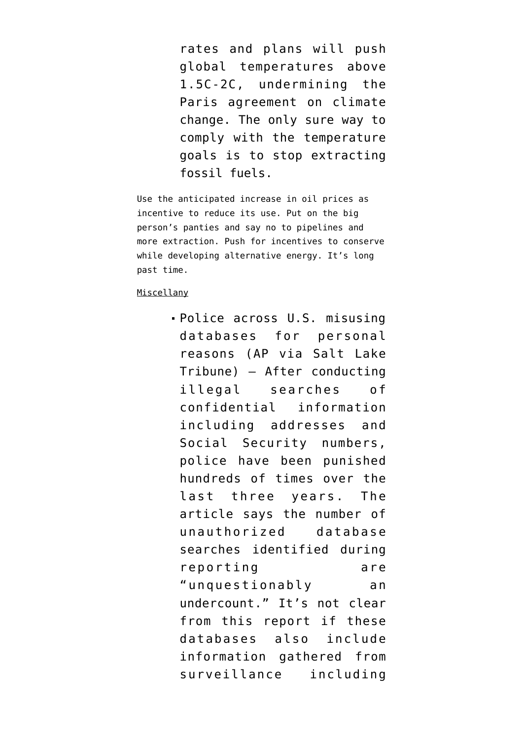rates and plans will push global temperatures above 1.5C-2C, undermining the Paris agreement on climate change. The only sure way to comply with the temperature goals is to stop extracting fossil fuels.

Use the anticipated increase in oil prices as incentive to reduce its use. Put on the big person's panties and say no to pipelines and more extraction. Push for incentives to conserve while developing alternative energy. It's long past time.

### Miscellany

[Police across U.S. misusing](http://www.sltrib.com/home/4407962-155/ap-across-us-police-officers-abuse) [databases for personal](http://www.sltrib.com/home/4407962-155/ap-across-us-police-officers-abuse) [reasons](http://www.sltrib.com/home/4407962-155/ap-across-us-police-officers-abuse) (AP via Salt Lake Tribune) — After conducting illegal searches of confidential information including addresses and Social Security numbers, police have been punished hundreds of times over the last three years. The article says the number of unauthorized database searches identified during reporting are "unquestionably an undercount." It's not clear from this report if these databases also include information gathered from surveillance including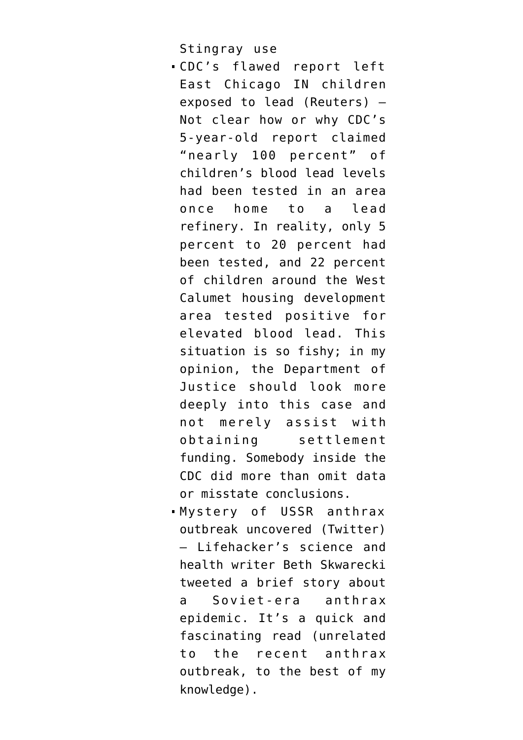Stingray use

- [CDC's flawed report left](http://www.reuters.com/article/us-usa-pollution-report-specialreport-idUSKCN11Y1BH) [East Chicago IN children](http://www.reuters.com/article/us-usa-pollution-report-specialreport-idUSKCN11Y1BH) [exposed to lead](http://www.reuters.com/article/us-usa-pollution-report-specialreport-idUSKCN11Y1BH) (Reuters) — Not clear how or why CDC's 5-year-old report claimed "nearly 100 percent" of children's blood lead levels had been tested in an area once home to a lead refinery. In reality, only 5 percent to 20 percent had been tested, and 22 percent of children around the West Calumet housing development area tested positive for elevated blood lead. This situation is so fishy; in my opinion, the Department of Justice should look more deeply into this case and not merely assist with obtaining settlement funding. Somebody inside the CDC did more than omit data or misstate conclusions.
- [Mystery of USSR anthrax](https://twitter.com/BethSkw/status/780859561448177664) [outbreak uncovered](https://twitter.com/BethSkw/status/780859561448177664) (Twitter) — Lifehacker's science and health writer Beth Skwarecki tweeted a brief story about a Soviet-era anthrax epidemic. It's a quick and fascinating read (unrelated to the recent anthrax outbreak, to the best of my knowledge).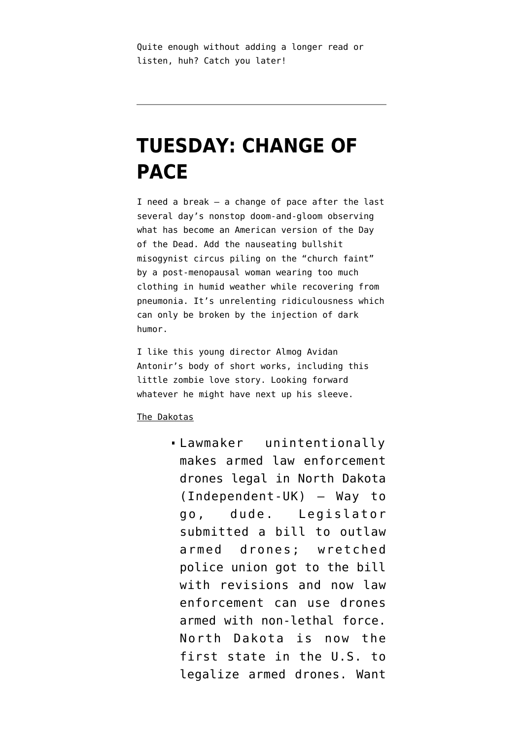Quite enough without adding a longer read or listen, huh? Catch you later!

## **[TUESDAY: CHANGE OF](https://www.emptywheel.net/2016/09/13/tuesday-change-of-pace/) [PACE](https://www.emptywheel.net/2016/09/13/tuesday-change-of-pace/)**

I need a break — a change of pace after the last several day's nonstop doom-and-gloom observing what has become an American version of the Day of the Dead. Add the nauseating bullshit misogynist circus piling on the "church faint" by a post-menopausal woman wearing too much clothing in humid weather while recovering from pneumonia. It's unrelenting ridiculousness which can only be broken by the injection of dark humor.

I like this young director Almog Avidan Antonir's body of short works, including this [little zombie love story.](https://vimeo.com/171451561) Looking forward whatever he might have next up his sleeve.

The Dakotas

[Lawmaker unintentionally](http://www.independent.co.uk/news/world/americas/north-dakota-becomes-first-us-state-to-legalise-use-of-armed-drones-by-police-10492397.html) [makes armed law enforcement](http://www.independent.co.uk/news/world/americas/north-dakota-becomes-first-us-state-to-legalise-use-of-armed-drones-by-police-10492397.html) [drones legal in North Dakota](http://www.independent.co.uk/news/world/americas/north-dakota-becomes-first-us-state-to-legalise-use-of-armed-drones-by-police-10492397.html) (Independent-UK) — Way to go, dude. Legislator submitted a bill to outlaw armed drones; wretched police union got to the bill with revisions and now law enforcement can use drones armed with non-lethal force. North Dakota is now the first state in the U.S. to legalize armed drones. Want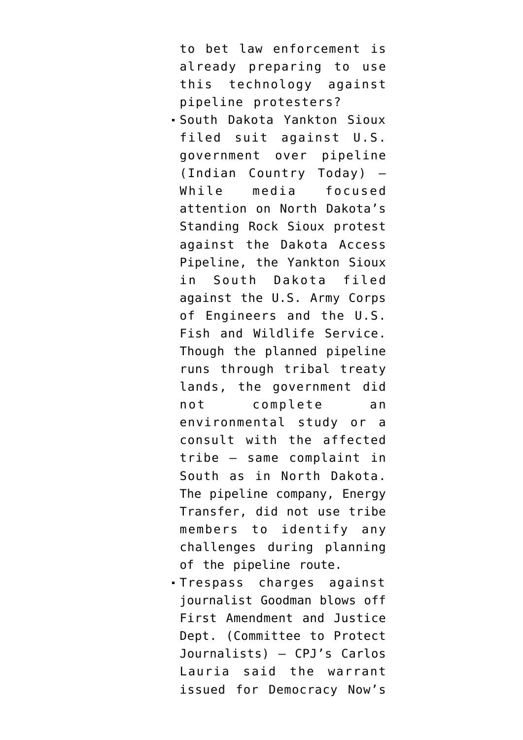to bet law enforcement is already preparing to use this technology against pipeline protesters?

- [South Dakota Yankton Sioux](http://indiancountrytodaymedianetwork.com/2016/09/09/yankton-sioux-tribe-sues-us-army-corps-usfws-over-dakota-access-165736) [filed suit against U.S.](http://indiancountrytodaymedianetwork.com/2016/09/09/yankton-sioux-tribe-sues-us-army-corps-usfws-over-dakota-access-165736) [government over pipeline](http://indiancountrytodaymedianetwork.com/2016/09/09/yankton-sioux-tribe-sues-us-army-corps-usfws-over-dakota-access-165736) (Indian Country Today) — While media focused attention on North Dakota's Standing Rock Sioux protest against the Dakota Access Pipeline, the Yankton Sioux in South Dakota filed against the U.S. Army Corps of Engineers and the U.S. Fish and Wildlife Service. Though the planned pipeline runs through tribal treaty lands, the government did not complete an environmental study or a consult with the affected tribe — same complaint in South as in North Dakota. The pipeline company, Energy Transfer, did not use tribe members to identify any challenges during planning of the pipeline route.
- [Trespass charges against](https://cpj.org/2016/09/arrest-warrant-for-muckraking-us-journalist.php) [journalist Goodman blows off](https://cpj.org/2016/09/arrest-warrant-for-muckraking-us-journalist.php) [First Amendment and Justice](https://cpj.org/2016/09/arrest-warrant-for-muckraking-us-journalist.php) [Dept.](https://cpj.org/2016/09/arrest-warrant-for-muckraking-us-journalist.php) (Committee to Protect Journalists) — CPJ's Carlos Lauria said the warrant issued for Democracy Now's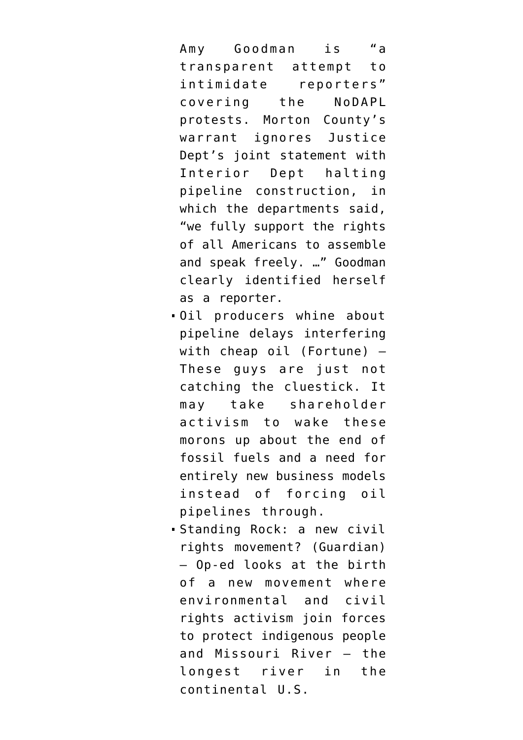Amy Goodman is "a transparent attempt to intimidate reporters" covering the NoDAPL protests. Morton County's warrant ignores Justice Dept's [joint statement](https://www.justice.gov/opa/pr/joint-statement-department-justice-department-army-and-department-interior-regarding-standing) with Interior Dept halting pipeline construction, in which the departments said, "we fully support the rights of all Americans to assemble and speak freely. …" Goodman clearly identified herself as a reporter.

- [Oil producers whine about](http://fortune.com/2016/09/11/dakota-access-piepine-results/) [pipeline delays interfering](http://fortune.com/2016/09/11/dakota-access-piepine-results/) [with cheap oil](http://fortune.com/2016/09/11/dakota-access-piepine-results/) (Fortune) — These guys are just not catching the cluestick. It may take shareholder activism to wake these morons up about the end of fossil fuels and a need for entirely new business models instead of forcing oil pipelines through.
- [Standing Rock: a new civil](https://www.theguardian.com/us-news/2016/sep/12/north-dakota-standing-rock-protests-civil-rights) [rights movement?](https://www.theguardian.com/us-news/2016/sep/12/north-dakota-standing-rock-protests-civil-rights) (Guardian) — Op-ed looks at the birth of a new movement where environmental and civil rights activism join forces to protect indigenous people and Missouri River — the longest river in the continental U.S.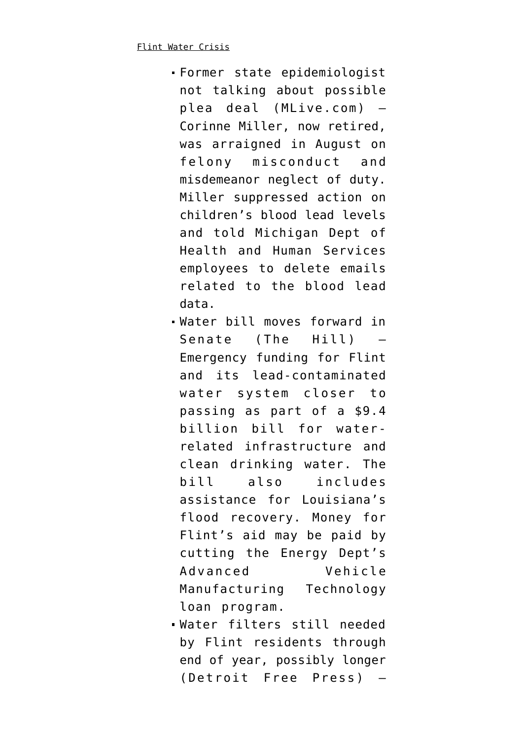- [Former state epidemiologist](http://www.mlive.com/news/index.ssf/2016/09/dhhs_boss_not_talking_about_po.html) [not talking about possible](http://www.mlive.com/news/index.ssf/2016/09/dhhs_boss_not_talking_about_po.html) [plea deal](http://www.mlive.com/news/index.ssf/2016/09/dhhs_boss_not_talking_about_po.html) (MLive.com) — Corinne Miller, now retired, was arraigned in August on felony misconduct and misdemeanor neglect of duty. Miller suppressed action on children's blood lead levels and told Michigan Dept of Health and Human Services employees to delete emails related to the blood lead data.
- [Water bill moves forward in](http://thehill.com/policy/transportation/295539-water-bill-with-flint-aid-moves-ahead-in-senate) [Senate](http://thehill.com/policy/transportation/295539-water-bill-with-flint-aid-moves-ahead-in-senate) (The Hill) Emergency funding for Flint and its lead-contaminated water system closer to passing as part of a \$9.4 billion bill for waterrelated infrastructure and clean drinking water. The bill also includes assistance for Louisiana's flood recovery. Money for Flint's aid may be paid by cutting the Energy Dept's Advanced Vehicle Manufacturing Technology loan program.
- [Water filters still needed](http://www.freep.com/story/news/local/michigan/flint-water-crisis/2016/09/11/flint-water-improves-details-scarce-how-crisis-can-end/89545656/) [by Flint residents through](http://www.freep.com/story/news/local/michigan/flint-water-crisis/2016/09/11/flint-water-improves-details-scarce-how-crisis-can-end/89545656/) [end of year, possibly longer](http://www.freep.com/story/news/local/michigan/flint-water-crisis/2016/09/11/flint-water-improves-details-scarce-how-crisis-can-end/89545656/) (Detroit Free Press) —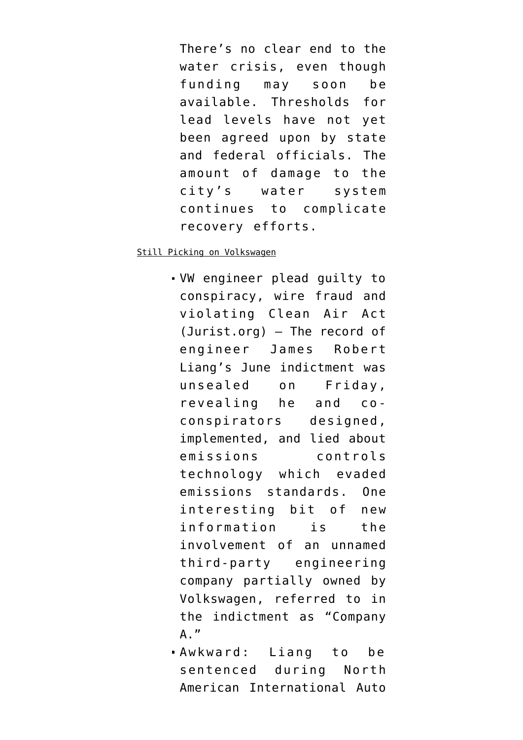There's no clear end to the water crisis, even though funding may soon be available. Thresholds for lead levels have not yet been agreed upon by state and federal officials. The amount of damage to the city's water system continues to complicate recovery efforts.

### Still Picking on Volkswagen

- [VW engineer plead guilty to](https://www.justice.gov/opa/pr/volkswagen-engineer-pleads-guilty-his-role-conspiracy-cheat-us-emissions-tests) [conspiracy, wire fraud and](https://www.justice.gov/opa/pr/volkswagen-engineer-pleads-guilty-his-role-conspiracy-cheat-us-emissions-tests) [violating Clean Air Act](https://www.justice.gov/opa/pr/volkswagen-engineer-pleads-guilty-his-role-conspiracy-cheat-us-emissions-tests) (Jurist.org) — The record of engineer James Robert Liang's [June indictment](https://www.justice.gov/opa/file/890761/download) was unsealed on Friday, revealing he and coconspirators designed, implemented, and lied about emissions controls technology which evaded emissions standards. One interesting bit of new information is the involvement of an unnamed third-party engineering company partially owned by Volkswagen, referred to in the indictment as "Company A."
- [Awkward: Liang to be](http://www.detroitnews.com/story/business/columnists/daniel-howes/2016/09/13/howes-feds-just-getting-warmed-vw-criminal-probe/90292878/) [sentenced during North](http://www.detroitnews.com/story/business/columnists/daniel-howes/2016/09/13/howes-feds-just-getting-warmed-vw-criminal-probe/90292878/) [American International Auto](http://www.detroitnews.com/story/business/columnists/daniel-howes/2016/09/13/howes-feds-just-getting-warmed-vw-criminal-probe/90292878/)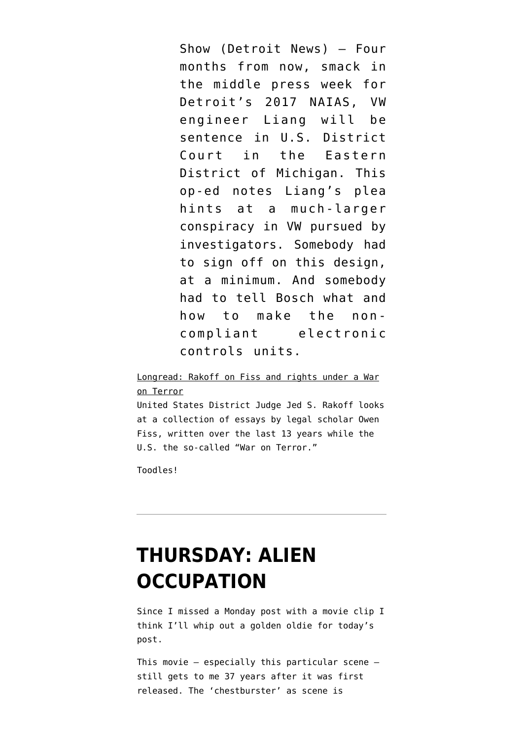[Show](http://www.detroitnews.com/story/business/columnists/daniel-howes/2016/09/13/howes-feds-just-getting-warmed-vw-criminal-probe/90292878/) (Detroit News) — Four months from now, smack in the middle press week for Detroit's 2017 NAIAS, VW engineer Liang will be sentence in U.S. District Court in the Eastern District of Michigan. This op-ed notes Liang's plea hints at a much-larger conspiracy in VW pursued by investigators. Somebody had to sign off on this design, at a minimum. And somebody had to tell Bosch what and how to make the noncompliant electronic controls units.

Longread: Rakoff on Fiss and rights under a War on Terror United States District Judge Jed S. Rakoff [looks](http://www.nybooks.com/articles/2016/09/29/terror-and-everybodys-rights/) [at a collection of essays](http://www.nybooks.com/articles/2016/09/29/terror-and-everybodys-rights/) by legal scholar Owen Fiss, written over the last 13 years while the U.S. the so-called "War on Terror."

Toodles!

# **[THURSDAY: ALIEN](https://www.emptywheel.net/2016/09/08/thursday-alien-occupation/) [OCCUPATION](https://www.emptywheel.net/2016/09/08/thursday-alien-occupation/)**

Since I missed a Monday post with a movie clip I think I'll whip out a golden oldie for today's post.

This movie  $-$  especially this particular scene  $$ still gets to me 37 years after it was first released. The 'chestburster' as scene is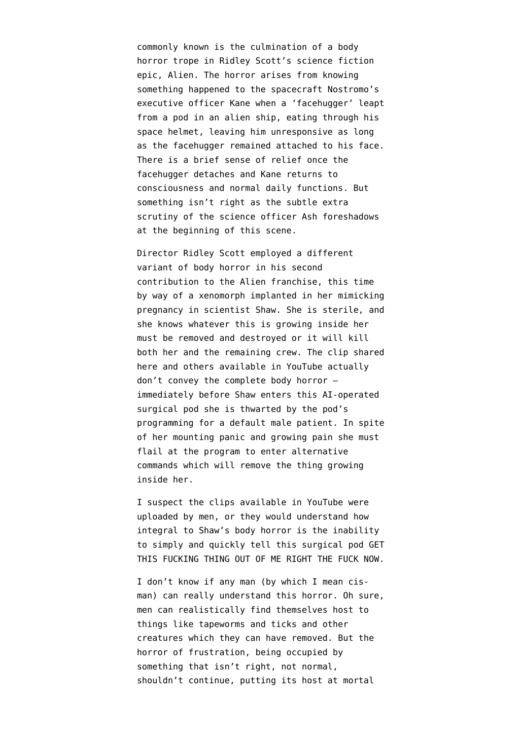commonly known is the culmination of a body horror trope in Ridley Scott's science fiction epic, Alien. The horror arises from knowing something happened to the spacecraft Nostromo's executive officer Kane when a 'facehugger' leapt from a pod in an alien ship, eating through his space helmet, leaving him unresponsive as long as the facehugger remained attached to his face. There is a brief sense of relief once the facehugger detaches and Kane returns to consciousness and normal daily functions. But something isn't right as the subtle extra scrutiny of the science officer Ash foreshadows at the beginning of this scene.

Director Ridley Scott employed a different variant of body horror in his second contribution to the Alien franchise, this time by way of a xenomorph implanted in her mimicking pregnancy in scientist Shaw. She is sterile, and she knows whatever this is growing inside her must be removed and destroyed or it will kill both her and the remaining crew. The clip shared here and others available in YouTube actually don't convey the complete body horror immediately before Shaw enters this AI-operated surgical pod she is thwarted by the pod's programming for a default male patient. In spite of her mounting panic and growing pain she must flail at the program to enter alternative commands which will remove the thing growing inside her.

I suspect the clips available in YouTube were uploaded by men, or they would understand how integral to Shaw's body horror is the inability to simply and quickly tell this surgical pod GET THIS FUCKING THING OUT OF ME RIGHT THE FUCK NOW.

I don't know if any man (by which I mean [cis](https://en.wikipedia.org/wiki/Cisgender)[man\)](https://en.wikipedia.org/wiki/Cisgender) can really understand this horror. Oh sure, men can realistically find themselves host to things like tapeworms and ticks and other creatures which they can have removed. But the horror of frustration, being occupied by something that isn't right, not normal, shouldn't continue, putting its host at mortal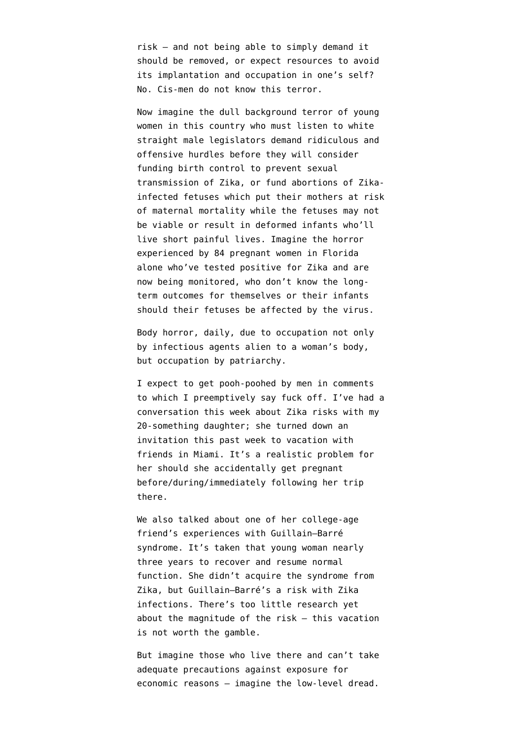risk — and not being able to simply demand it should be removed, or expect resources to avoid its implantation and occupation in one's self? No. Cis-men do not know this terror.

Now imagine the dull background terror of young women in this country who must listen to white straight male legislators demand ridiculous and offensive hurdles before they will consider funding birth control to prevent sexual transmission of Zika, or fund abortions of Zikainfected fetuses which put their mothers at risk of maternal mortality while the fetuses may not be viable or result in deformed infants who'll live short painful lives. Imagine the horror experienced by [84 pregnant women in Florida](http://www.local10.com/health/zika-virus/florida-health-officials-confirm-84-pregnant-women-test-positive-for-zika-virus-) alone who've tested positive for Zika and are now being monitored, who don't know the longterm outcomes for themselves or their infants should their fetuses be affected by the virus.

Body horror, daily, due to occupation not only by infectious agents alien to a woman's body, but occupation by patriarchy.

I expect to get pooh-poohed by men in comments to which I preemptively say fuck off. I've had a conversation this week about Zika risks with my 20-something daughter; she turned down an invitation this past week to vacation with friends in Miami. It's a realistic problem for her should she accidentally get pregnant before/during/immediately following her trip there.

We also talked about one of her college-age friend's experiences with Guillain–Barré syndrome. It's taken that young woman nearly three years to recover and resume normal function. She didn't acquire the syndrome from Zika, but [Guillain–Barré's a risk with Zika](http://www.nejm.org/doi/full/10.1056/NEJMc1609015) [infections.](http://www.nejm.org/doi/full/10.1056/NEJMc1609015) There's too little research yet about the magnitude of the risk — this vacation is not worth the gamble.

But imagine those who live there and can't take adequate precautions against exposure for economic reasons — imagine the low-level dread.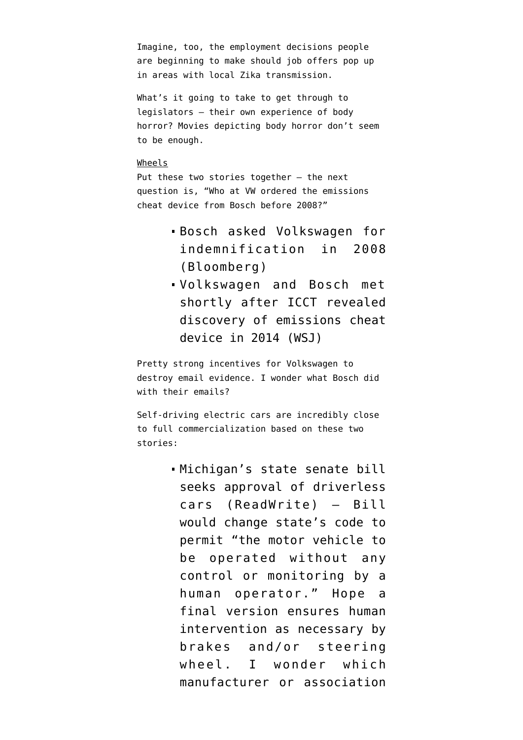Imagine, too, the employment decisions people are beginning to make should job offers pop up in areas with local Zika transmission.

What's it going to take to get through to legislators — their own experience of body horror? Movies depicting body horror don't seem to be enough.

### Wheels

Put these two stories together — the next question is, "Who at VW ordered the emissions cheat device from Bosch before 2008?"

- [Bosch asked Volkswagen for](https://www.bloomberg.com/news/articles/2016-09-06/bosch-allegedly-sought-vw-legal-cover-for-defeat-device-in-2008) [indemnification in 2008](https://www.bloomberg.com/news/articles/2016-09-06/bosch-allegedly-sought-vw-legal-cover-for-defeat-device-in-2008) (Bloomberg)
- [Volkswagen and Bosch met](http://www.wsj.com/articles/volkswagen-robert-bosch-met-in-2014-to-discuss-emissions-software-suit-says-1473370004) [shortly after ICCT revealed](http://www.wsj.com/articles/volkswagen-robert-bosch-met-in-2014-to-discuss-emissions-software-suit-says-1473370004) [discovery of emissions cheat](http://www.wsj.com/articles/volkswagen-robert-bosch-met-in-2014-to-discuss-emissions-software-suit-says-1473370004) [device in 2014](http://www.wsj.com/articles/volkswagen-robert-bosch-met-in-2014-to-discuss-emissions-software-suit-says-1473370004) (WSJ)

Pretty strong incentives for Volkswagen to destroy email evidence. I wonder what Bosch did with their emails?

Self-driving electric cars are incredibly close to full commercialization based on these two stories:

> [Michigan's state senate bill](http://readwrite.com/2016/09/07/michigan-driverless-cars-tl4/) [seeks approval of driverless](http://readwrite.com/2016/09/07/michigan-driverless-cars-tl4/) [cars](http://readwrite.com/2016/09/07/michigan-driverless-cars-tl4/) (ReadWrite) — Bill would change state's code to permit "the motor vehicle to be operated without any control or monitoring by a human operator." Hope a final version ensures human intervention as necessary by brakes and/or steering wheel. I wonder which manufacturer or association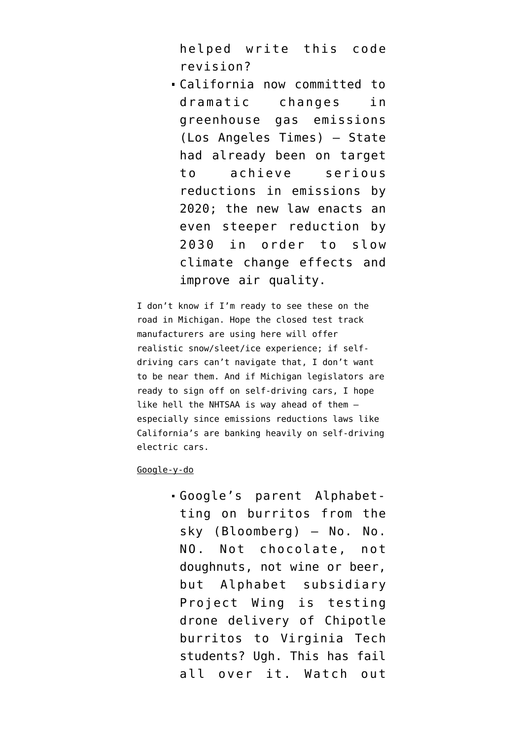helped write this code revision?

[California now committed to](http://www.latimes.com/politics/la-pol-ca-jerry-brown-signs-climate-laws-20160908-snap-story.html) [dramatic changes in](http://www.latimes.com/politics/la-pol-ca-jerry-brown-signs-climate-laws-20160908-snap-story.html) [greenhouse gas emissions](http://www.latimes.com/politics/la-pol-ca-jerry-brown-signs-climate-laws-20160908-snap-story.html) (Los Angeles Times) — State had already been on target to achieve serious reductions in emissions by 2020; the new law enacts an even steeper reduction by 2030 in order to slow climate change effects and improve air quality.

I don't know if I'm ready to see these on the road in Michigan. Hope the closed test track manufacturers are using here will offer realistic snow/sleet/ice experience; if selfdriving cars can't navigate that, I don't want to be near them. And if Michigan legislators are ready to sign off on self-driving cars, I hope like hell the NHTSAA is way ahead of them especially since emissions reductions laws like California's are banking heavily on self-driving electric cars.

Google-y-do

[Google's parent Alphabet](https://www.bloomberg.com/news/articles/2016-09-08/burrito-by-drone-coming-to-campus-in-test-of-alphabet-s-delivery)[ting on burritos from the](https://www.bloomberg.com/news/articles/2016-09-08/burrito-by-drone-coming-to-campus-in-test-of-alphabet-s-delivery) [sky](https://www.bloomberg.com/news/articles/2016-09-08/burrito-by-drone-coming-to-campus-in-test-of-alphabet-s-delivery) (Bloomberg) — No. No. NO. Not chocolate, not doughnuts, not wine or beer, but Alphabet subsidiary Project Wing is testing drone delivery of Chipotle burritos to Virginia Tech students? Ugh. This has fail all over it. Watch out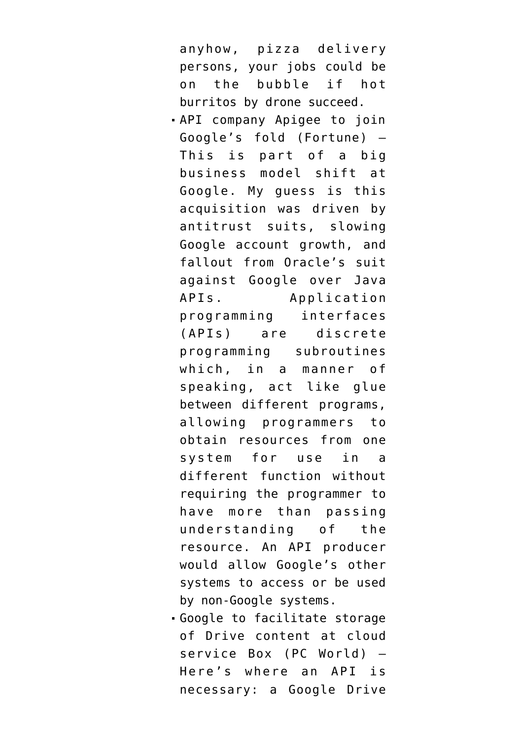anyhow, pizza delivery persons, your jobs could be on the bubble if hot burritos by drone succeed.

- [API company Apigee to join](http://www.forbes.com/sites/alexkonrad/2016/09/08/cloud-chief-diane-greene-explains-why-google-is-acquiring-apigee-for-625-million/) [Google's fold](http://www.forbes.com/sites/alexkonrad/2016/09/08/cloud-chief-diane-greene-explains-why-google-is-acquiring-apigee-for-625-million/) (Fortune) — This is part of a big business model shift at Google. My guess is this acquisition was driven by antitrust suits, slowing Google account growth, and fallout from Oracle's suit against Google over Java APIs. Application programming interfaces (APIs) are discrete programming subroutines which, in a manner of speaking, act like glue between different programs, allowing programmers to obtain resources from one system for use in a different function without requiring the programmer to have more than passing understanding of the resource. An API producer would allow Google's other systems to access or be used by non-Google systems.
- [Google to facilitate storage](http://www.pcworld.com/article/3117644/data-center-cloud/google-just-blew-up-its-all-in-strategy-for-productivity-software.html) [of Drive content at cloud](http://www.pcworld.com/article/3117644/data-center-cloud/google-just-blew-up-its-all-in-strategy-for-productivity-software.html) [service Box](http://www.pcworld.com/article/3117644/data-center-cloud/google-just-blew-up-its-all-in-strategy-for-productivity-software.html) (PC World) — Here's where an API is necessary: a Google Drive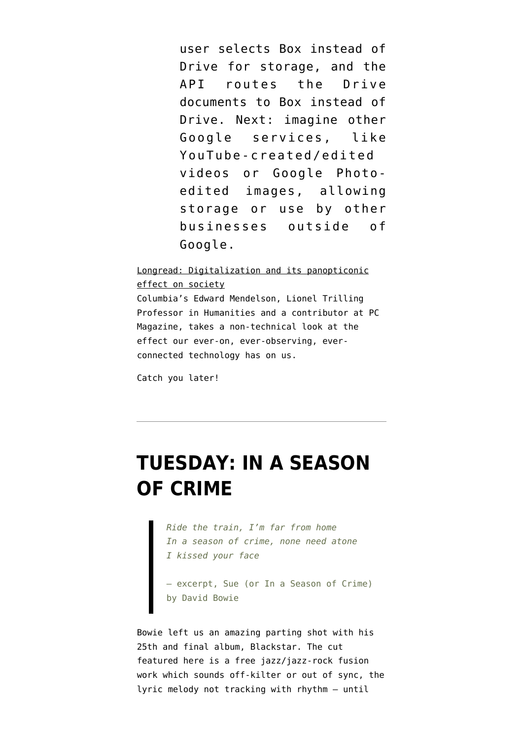user selects Box instead of Drive for storage, and the API routes the Drive documents to Box instead of Drive. Next: imagine other Google services, like YouTube-created/edited videos or Google Photoedited images, allowing storage or use by other businesses outside of Google.

Longread: Digitalization and its panopticonic effect on society Columbia's Edward Mendelson, Lionel Trilling Professor in Humanities and a contributor at PC Magazine, [takes a non-technical look at the](http://www.nybooks.com/articles/2016/06/23/depths-of-the-digital-age/) [effect our ever-on, ever-observing, ever](http://www.nybooks.com/articles/2016/06/23/depths-of-the-digital-age/)[connected technology](http://www.nybooks.com/articles/2016/06/23/depths-of-the-digital-age/) has on us.

```
Catch you later!
```
# **[TUESDAY: IN A SEASON](https://www.emptywheel.net/2016/09/06/tuesday-in-a-season-of-crime/) [OF CRIME](https://www.emptywheel.net/2016/09/06/tuesday-in-a-season-of-crime/)**

*Ride the train, I'm far from home In a season of crime, none need atone I kissed your face*

— excerpt, Sue (or In a Season of Crime) by David Bowie

Bowie left us an amazing parting shot with his 25th and final album, Blackstar. The cut featured here is a free jazz/jazz-rock fusion work which sounds off-kilter or out of sync, the lyric melody not tracking with rhythm — until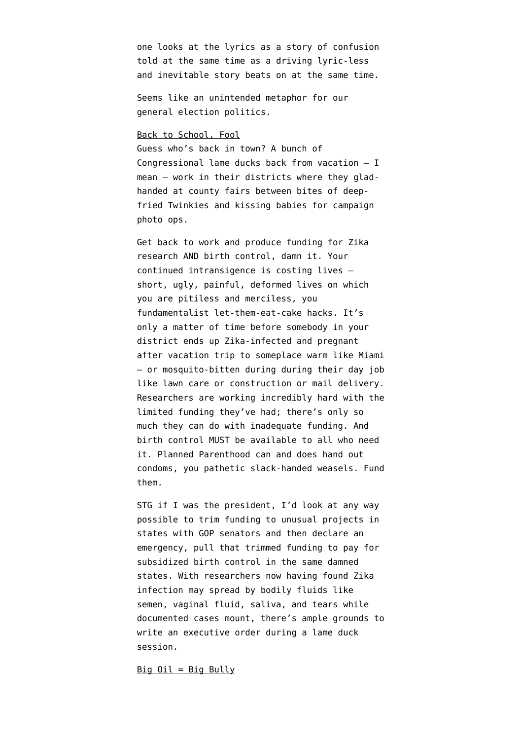one looks at the lyrics as a story of confusion told at the same time as a driving lyric-less and inevitable story beats on at the same time.

Seems like an unintended metaphor for our general election politics.

#### Back to School, Fool

Guess who's back in town? A bunch of Congressional lame ducks back from vacation — I mean — work in their districts where they gladhanded at county fairs between bites of deepfried Twinkies and kissing babies for campaign photo ops.

Get back to work and produce funding for Zika research AND birth control, damn it. Your [continued intransigence](http://www.huffingtonpost.com/entry/congress-resumes-with-another-zika-failure_us_57cf13c0e4b03d2d4596b6e4) is costing lives short, ugly, painful, deformed lives on which you are pitiless and merciless, you fundamentalist let-them-eat-cake hacks. It's only a matter of time before somebody in your district ends up Zika-infected and pregnant after vacation trip to someplace warm like Miami — or mosquito-bitten during during their day job like lawn care or construction or mail delivery. Researchers are working incredibly hard with the limited funding they've had; there's only so much they can do with inadequate funding. And birth control MUST be available to all who need it. Planned Parenthood can and does hand out condoms, you pathetic slack-handed weasels. Fund them.

STG if I was the president, I'd look at any way possible to trim funding to unusual projects in states with GOP senators and then declare an emergency, pull that trimmed funding to pay for subsidized birth control in the same damned states. With researchers now having found [Zika](http://www.reuters.com/article/us-health-zika-tears-idUSKCN11C211) [infection may spread by bodily fluids](http://www.reuters.com/article/us-health-zika-tears-idUSKCN11C211) like semen, vaginal fluid, saliva, and tears while [documented cases mount](http://www.cdc.gov/zika/geo/united-states.html), there's ample grounds to write an executive order during a lame duck session.

### $Big$  Oil = Big Bully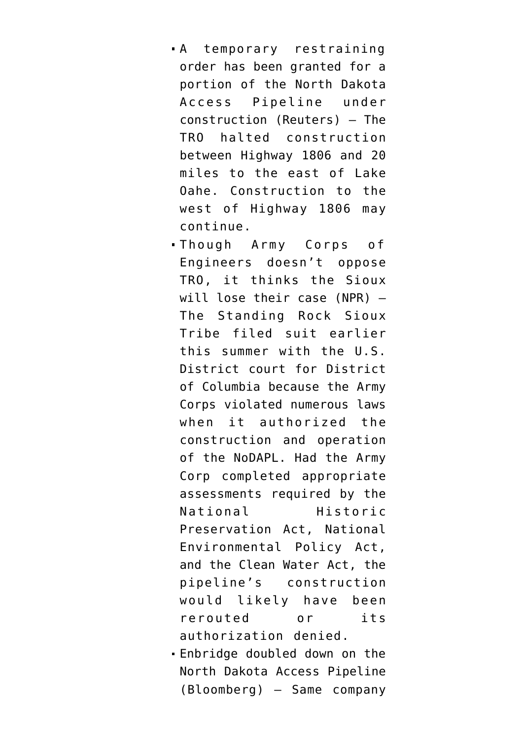- [A temporary restraining](http://www.reuters.com/article/us-usa-pipeline-nativeamericans-idUSKCN11C26B) [order has been granted for a](http://www.reuters.com/article/us-usa-pipeline-nativeamericans-idUSKCN11C26B) [portion of the North Dakota](http://www.reuters.com/article/us-usa-pipeline-nativeamericans-idUSKCN11C26B) [Access Pipeline under](http://www.reuters.com/article/us-usa-pipeline-nativeamericans-idUSKCN11C26B) [construction](http://www.reuters.com/article/us-usa-pipeline-nativeamericans-idUSKCN11C26B) (Reuters) — The TRO halted construction between Highway 1806 and 20 miles to the east of Lake Oahe. Construction to the west of Highway 1806 may continue.
- [Though Army Corps of](http://www.npr.org/sections/thetwo-way/2016/09/06/492800352/army-corps-doesnt-oppose-temporary-halt-to-dakota-access-pipeline) [Engineers doesn't oppose](http://www.npr.org/sections/thetwo-way/2016/09/06/492800352/army-corps-doesnt-oppose-temporary-halt-to-dakota-access-pipeline) [TRO, it thinks the Sioux](http://www.npr.org/sections/thetwo-way/2016/09/06/492800352/army-corps-doesnt-oppose-temporary-halt-to-dakota-access-pipeline) [will lose their case](http://www.npr.org/sections/thetwo-way/2016/09/06/492800352/army-corps-doesnt-oppose-temporary-halt-to-dakota-access-pipeline) (NPR) — The Standing Rock Sioux Tribe [filed suit earlier](http://earthjustice.org/sites/default/files/files/3154%201%20Complaint.pdf) [this summer](http://earthjustice.org/sites/default/files/files/3154%201%20Complaint.pdf) with the U.S. District court for District of Columbia because the Army Corps violated numerous laws when it authorized the construction and operation of the NoDAPL. Had the Army Corp completed appropriate assessments required by the National Historic Preservation Act, National Environmental Policy Act, and the Clean Water Act, the pipeline's construction would likely have been rerouted or its authorization denied.
- [Enbridge doubled down on the](https://www.bloomberg.com/news/articles/2016-09-01/enbridge-scraps-plan-to-build-sandpiper-amid-bakken-oil-slump) [North Dakota Access Pipeline](https://www.bloomberg.com/news/articles/2016-09-01/enbridge-scraps-plan-to-build-sandpiper-amid-bakken-oil-slump) (Bloomberg) — Same company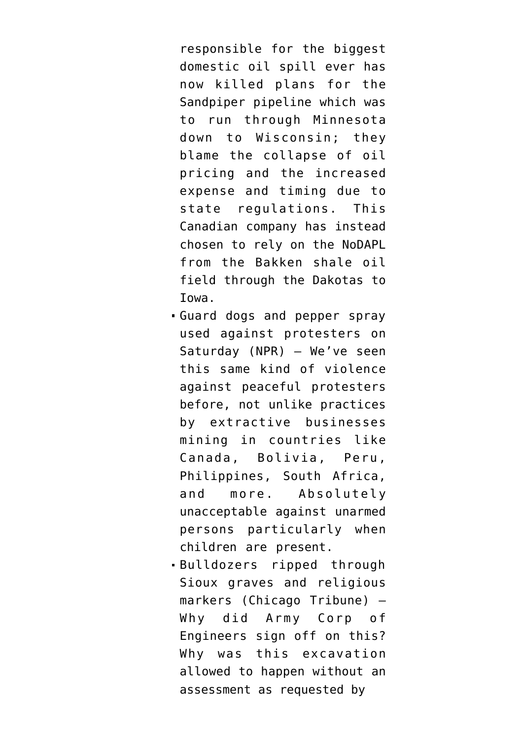responsible for the biggest domestic oil spill ever has now killed plans for the Sandpiper pipeline which was to run through Minnesota down to Wisconsin; they blame the collapse of oil pricing and the increased expense and timing due to state regulations. This Canadian company has instead chosen to rely on the NoDAPL from the Bakken shale oil field through the Dakotas to Iowa.

- [Guard dogs and pepper spray](http://www.npr.org/sections/thetwo-way/2016/09/04/492625850/dakota-access-pipeline-protests-in-north-dakota-turn-violent) [used against protesters on](http://www.npr.org/sections/thetwo-way/2016/09/04/492625850/dakota-access-pipeline-protests-in-north-dakota-turn-violent) [Saturday](http://www.npr.org/sections/thetwo-way/2016/09/04/492625850/dakota-access-pipeline-protests-in-north-dakota-turn-violent) (NPR) — We've seen this same kind of violence against peaceful protesters before, not unlike practices by extractive businesses mining in countries like Canada, Bolivia, Peru, Philippines, South Africa, and more. Absolutely unacceptable against unarmed persons particularly when children are present.
- [Bulldozers ripped through](http://www.chicagotribune.com/news/nationworld/ct-oil-pipeline-protest-north-dakota-20160903-story.html) [Sioux graves and religious](http://www.chicagotribune.com/news/nationworld/ct-oil-pipeline-protest-north-dakota-20160903-story.html) [markers](http://www.chicagotribune.com/news/nationworld/ct-oil-pipeline-protest-north-dakota-20160903-story.html) (Chicago Tribune) — Why did Army Corp of Engineers sign off on this? Why was this excavation allowed to happen without an assessment as requested by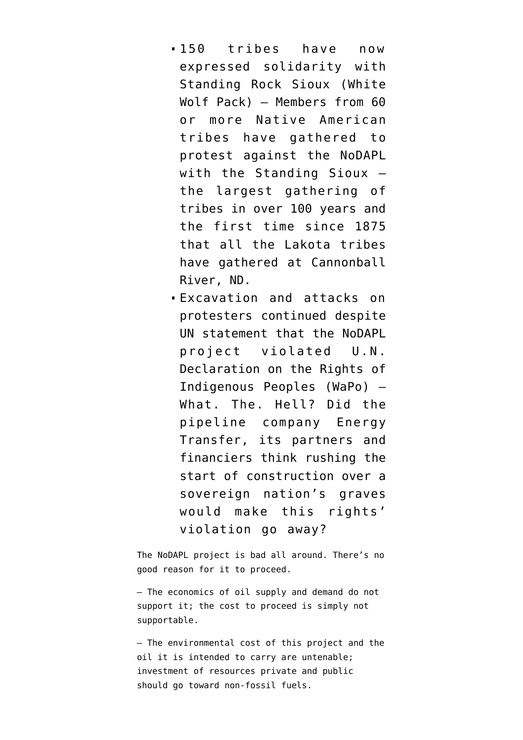- [150 tribes have now](http://www.whitewolfpack.com/2016/09/historic-resistance-to-dakota-pipeline.html) [expressed solidarity with](http://www.whitewolfpack.com/2016/09/historic-resistance-to-dakota-pipeline.html) [Standing Rock Sioux](http://www.whitewolfpack.com/2016/09/historic-resistance-to-dakota-pipeline.html) (White Wolf Pack) — Members from 60 or more Native American tribes have gathered to protest against the NoDAPL with the Standing Sioux the largest gathering of tribes in over 100 years and the first time since 1875 that all the Lakota tribes have gathered at Cannonball River, ND.
- [Excavation and attacks on](https://www.washingtonpost.com/business/un-body-says-sioux-should-have-say-in-pipeline-project/2016/08/31/4082d09c-6fc8-11e6-993f-73c693a89820_story.html) [protesters continued despite](https://www.washingtonpost.com/business/un-body-says-sioux-should-have-say-in-pipeline-project/2016/08/31/4082d09c-6fc8-11e6-993f-73c693a89820_story.html) [UN statement that the NoDAPL](https://www.washingtonpost.com/business/un-body-says-sioux-should-have-say-in-pipeline-project/2016/08/31/4082d09c-6fc8-11e6-993f-73c693a89820_story.html) [project violated U.N.](https://www.washingtonpost.com/business/un-body-says-sioux-should-have-say-in-pipeline-project/2016/08/31/4082d09c-6fc8-11e6-993f-73c693a89820_story.html) [Declaration on the Rights of](https://www.washingtonpost.com/business/un-body-says-sioux-should-have-say-in-pipeline-project/2016/08/31/4082d09c-6fc8-11e6-993f-73c693a89820_story.html) [Indigenous Peoples](https://www.washingtonpost.com/business/un-body-says-sioux-should-have-say-in-pipeline-project/2016/08/31/4082d09c-6fc8-11e6-993f-73c693a89820_story.html) (WaPo) — What. The. Hell? Did the pipeline company Energy Transfer, its partners and financiers think rushing the start of construction over a sovereign nation's graves would make this rights' violation go away?

The NoDAPL project is bad all around. There's no good reason for it to proceed.

— The economics of oil supply and demand do not support it; the cost to proceed is simply not supportable.

— The environmental cost of this project and the oil it is intended to carry are untenable; investment of resources private and public should go toward non-fossil fuels.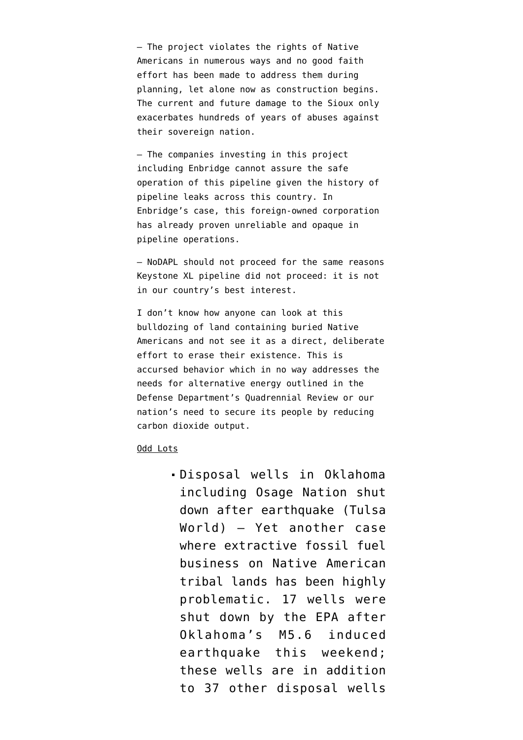— The project [violates the rights of Native](http://www.philly.com/philly/blogs/attytood/How-your-Pa-tax--went-all-Bull-Connor-on-Native-American-protesters.html) [Americans](http://www.philly.com/philly/blogs/attytood/How-your-Pa-tax--went-all-Bull-Connor-on-Native-American-protesters.html) in numerous ways and no good faith effort has been made to address them during planning, let alone now as construction begins. The current and future damage to the Sioux only exacerbates hundreds of years of abuses against their sovereign nation.

— The companies investing in this project including Enbridge cannot assure the safe operation of this pipeline given the history of pipeline leaks across this country. In Enbridge's case, this foreign-owned corporation has already proven unreliable and opaque in pipeline operations.

— NoDAPL [should not proceed](http://www.startribune.com/stop-tar-sands-extraction-stop-pipelines/392206731/) for the same reasons Keystone XL pipeline did not proceed: it is not in our country's best interest.

I don't know how anyone can [look at this](https://twitter.com/EduSamani/status/772492236462448640) [bulldozing](https://twitter.com/EduSamani/status/772492236462448640) of land containing buried Native Americans and not see it as a direct, deliberate effort to erase their existence. This is accursed behavior which in no way addresses the needs for alternative energy outlined in the Defense Department's Quadrennial Review or our nation's need to secure its people by reducing carbon dioxide output.

### Odd Lots

[Disposal wells in Oklahoma](http://www.tulsaworld.com/earthquakes/epa-apparently-will-shut-down-osage-county-disposal-wells-in/article_cd3197d3-0dd2-51ab-8b0a-06ca78bb7513.html) [including Osage Nation shut](http://www.tulsaworld.com/earthquakes/epa-apparently-will-shut-down-osage-county-disposal-wells-in/article_cd3197d3-0dd2-51ab-8b0a-06ca78bb7513.html) [down after earthquake](http://www.tulsaworld.com/earthquakes/epa-apparently-will-shut-down-osage-county-disposal-wells-in/article_cd3197d3-0dd2-51ab-8b0a-06ca78bb7513.html) (Tulsa World) — Yet another case where extractive fossil fuel business on Native American tribal lands has been highly problematic. 17 wells were shut down by the EPA after Oklahoma's M5.6 induced earthquake this weekend; these wells are in addition to 37 other disposal wells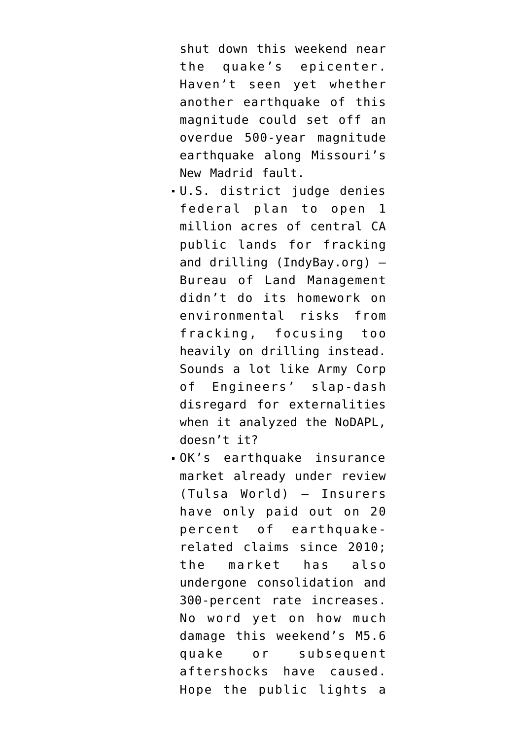shut down this weekend near the quake's epicenter. Haven't seen yet whether another earthquake of this magnitude could set off an overdue 500-year magnitude earthquake along Missouri's New Madrid fault.

- [U.S. district judge denies](https://www.indybay.org/newsitems/2016/09/06/18790939.php) [federal plan to open 1](https://www.indybay.org/newsitems/2016/09/06/18790939.php) [million acres of central CA](https://www.indybay.org/newsitems/2016/09/06/18790939.php) [public lands for fracking](https://www.indybay.org/newsitems/2016/09/06/18790939.php) [and drilling](https://www.indybay.org/newsitems/2016/09/06/18790939.php) (IndyBay.org) — Bureau of Land Management didn't do its homework on environmental risks from fracking, focusing too heavily on drilling instead. Sounds a lot like Army Corp of Engineers' slap-dash disregard for externalities when it analyzed the NoDAPL, doesn't it?
- [OK's earthquake insurance](http://www.tulsaworld.com/homepagelatest/quake-insurance-available-in-oklahoma-but-market-under-scrutiny/article_20e196a9-c7b4-53fb-9ef2-f4c683f99231.html) [market already under review](http://www.tulsaworld.com/homepagelatest/quake-insurance-available-in-oklahoma-but-market-under-scrutiny/article_20e196a9-c7b4-53fb-9ef2-f4c683f99231.html) (Tulsa World) — Insurers have only paid out on 20 percent of earthquakerelated claims since 2010; the market has also undergone consolidation and 300-percent rate increases. No word yet on how much damage this weekend's M5.6 quake or subsequent aftershocks have caused. Hope the public lights a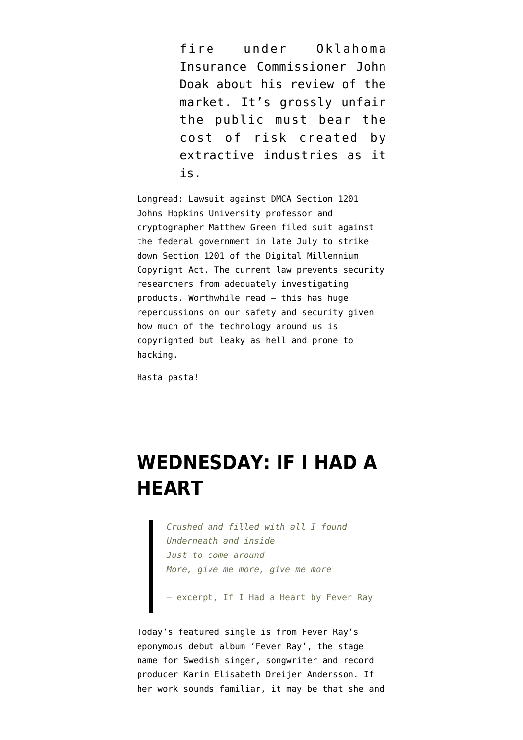fire under Oklahoma Insurance Commissioner John Doak about his review of the market. It's grossly unfair the public must bear the cost of risk created by extractive industries as it is.

Longread: Lawsuit against DMCA Section 1201 Johns Hopkins University professor and cryptographer Matthew Green [filed suit against](https://blog.cryptographyengineering.com/2016/07/28/statement-on-dmca-lawsuit/) [the federal government](https://blog.cryptographyengineering.com/2016/07/28/statement-on-dmca-lawsuit/) in late July to strike down Section 1201 of the Digital Millennium Copyright Act. The current law prevents security researchers from adequately investigating products. Worthwhile read — this has huge repercussions on our safety and security given how much of the technology around us is copyrighted but leaky as hell and prone to hacking.

Hasta pasta!

# **[WEDNESDAY: IF I HAD A](https://www.emptywheel.net/2016/08/31/wednesday-if-i-had-a-heart/) [HEART](https://www.emptywheel.net/2016/08/31/wednesday-if-i-had-a-heart/)**

*Crushed and filled with all I found Underneath and inside Just to come around More, give me more, give me more*

— excerpt, If I Had a Heart by Fever Ray

Today's featured single is from Fever Ray's eponymous debut album 'Fever Ray', the stage name for Swedish singer, songwriter and record producer Karin Elisabeth Dreijer Andersson. If her work sounds familiar, it may be that she and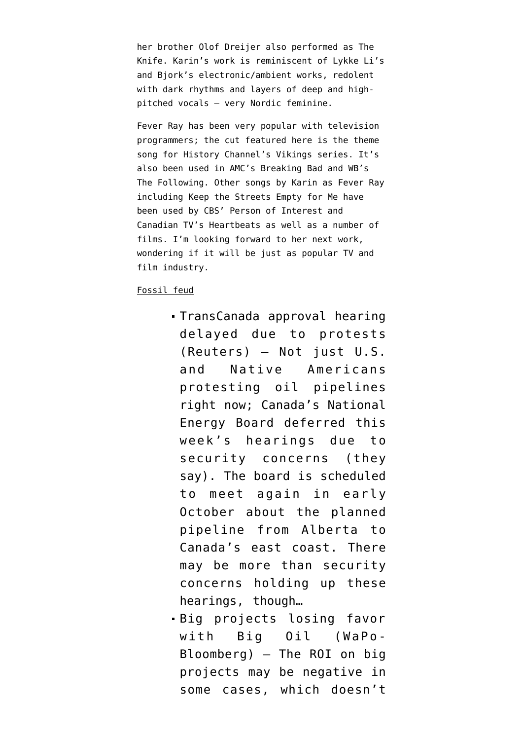her brother Olof Dreijer also performed as [The](https://youtu.be/gKhjaGRhIYU?list=RDEMEANXAmBdHzV_Q4A5gkr7YQ) [Knife](https://youtu.be/gKhjaGRhIYU?list=RDEMEANXAmBdHzV_Q4A5gkr7YQ). Karin's work is reminiscent of Lykke Li's and Bjork's electronic/ambient works, redolent with dark rhythms and layers of deep and highpitched vocals — very Nordic feminine.

Fever Ray has been very popular with television programmers; the cut featured here is the theme song for History Channel's Vikings series. It's also been used in AMC's Breaking Bad and WB's The Following. Other songs by Karin as Fever Ray including [Keep the Streets Empty for Me](https://youtu.be/jWFb5z3kUSQ) have been used by CBS' Person of Interest and Canadian TV's Heartbeats as well as [a number of](http://www.imdb.com/name/nm2508519/?ref_=fn_al_nm_1) [films](http://www.imdb.com/name/nm2508519/?ref_=fn_al_nm_1). I'm looking forward to her next work, wondering if it will be just as popular TV and film industry.

Fossil feud

- [TransCanada approval hearing](http://www.reuters.com/article/us-transcanada-pipeline-idUSKCN1152KY) [delayed due to protests](http://www.reuters.com/article/us-transcanada-pipeline-idUSKCN1152KY) (Reuters) — Not just U.S. and Native Americans protesting oil pipelines right now; Canada's National Energy Board deferred this week's hearings due to security concerns (they say). The board is scheduled to meet again in early October about the planned pipeline from Alberta to Canada's east coast. There may be more than security concerns holding up these hearings, though…
- [Big projects losing favor](http://washpost.bloomberg.com/Story?docId=1376-OCOP1T6K50XS01-2BE58VIMUSEE2ACR3RH6GT7KM3) [with Big Oil](http://washpost.bloomberg.com/Story?docId=1376-OCOP1T6K50XS01-2BE58VIMUSEE2ACR3RH6GT7KM3) (WaPo-Bloomberg) — The ROI on big projects may be negative in some cases, which doesn't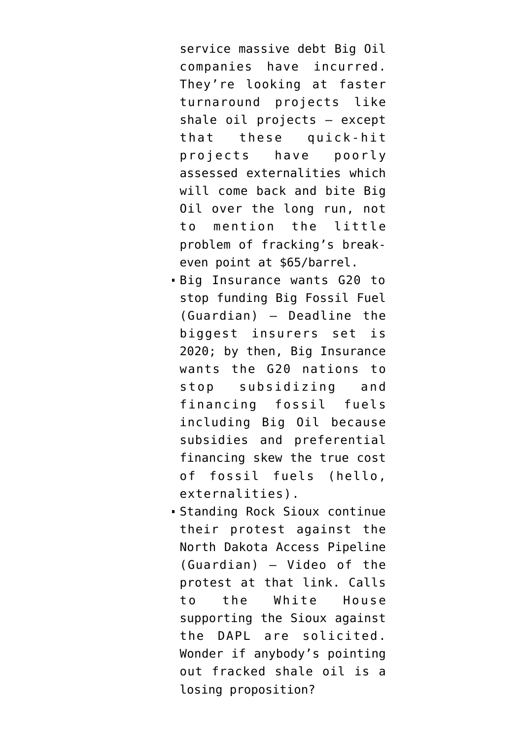service massive debt Big Oil companies have incurred. They're looking at faster turnaround projects like shale oil projects — except that these quick-hit projects have poorly assessed externalities which will come back and bite Big Oil over the long run, not to mention the little problem of fracking's breakeven point at \$65/barrel.

- [Big Insurance wants G20 to](https://www.theguardian.com/environment/2016/aug/30/leading-insurers-tell-g20-to-stop-funding-fossil-fuels-by-2020) [stop funding Big Fossil Fuel](https://www.theguardian.com/environment/2016/aug/30/leading-insurers-tell-g20-to-stop-funding-fossil-fuels-by-2020) (Guardian) — Deadline the biggest insurers set is 2020; by then, Big Insurance wants the G20 nations to stop subsidizing and financing fossil fuels including Big Oil because subsidies and preferential financing skew the true cost of fossil fuels (hello, externalities).
- [Standing Rock Sioux continue](https://www.theguardian.com/us-news/video/2016/aug/29/north-dakota-oil-access-pipeline-protest-video) [their protest against the](https://www.theguardian.com/us-news/video/2016/aug/29/north-dakota-oil-access-pipeline-protest-video) [North Dakota Access Pipeline](https://www.theguardian.com/us-news/video/2016/aug/29/north-dakota-oil-access-pipeline-protest-video) (Guardian) — Video of the protest at that link. [Calls](https://twitter.com/billmckibben/status/770709144852725760) [to the White House](https://twitter.com/billmckibben/status/770709144852725760) [supporting the Sioux](https://twitter.com/billmckibben/status/770709144852725760) against the DAPL are solicited. Wonder if anybody's pointing out fracked shale oil is a losing proposition?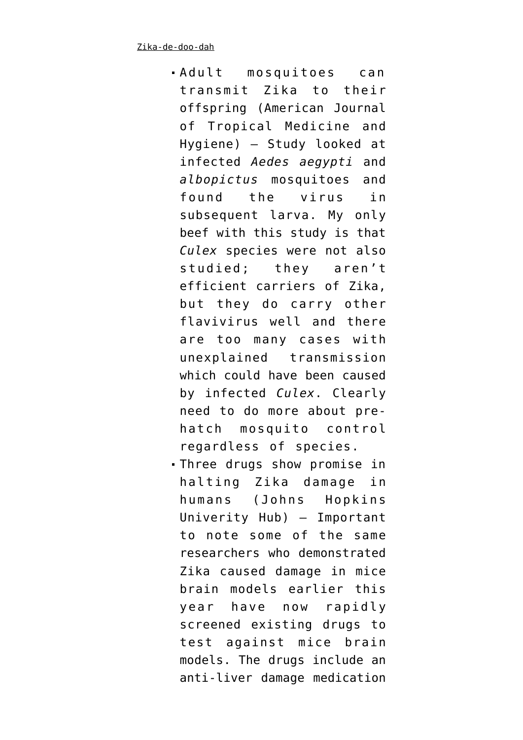- [Adult mosquitoes can](http://www.ajtmh.org/content/early/2016/08/23/ajtmh.16-0448) [transmit Zika to their](http://www.ajtmh.org/content/early/2016/08/23/ajtmh.16-0448) [offspring](http://www.ajtmh.org/content/early/2016/08/23/ajtmh.16-0448) (American Journal of Tropical Medicine and Hygiene) — Study looked at infected *Aedes aegypti* and *albopictus* mosquitoes and found the virus in subsequent larva. My only beef with this study is that *Culex* species were not also studied; they aren't efficient carriers of Zika, but they do carry other flavivirus well and there are too many cases with unexplained transmission which could have been caused by infected *Culex*. Clearly need to do more about prehatch mosquito control regardless of species.
- [Three drugs show promise in](https://hub.jhu.edu/2016/08/29/zika-treament-drug-screening/) [halting Zika damage in](https://hub.jhu.edu/2016/08/29/zika-treament-drug-screening/) [humans](https://hub.jhu.edu/2016/08/29/zika-treament-drug-screening/) (Johns Hopkins Univerity Hub) — Important to note some of the same researchers who demonstrated Zika caused damage in mice brain models earlier this year have now rapidly screened existing drugs to test against mice brain models. The drugs include an anti-liver damage medication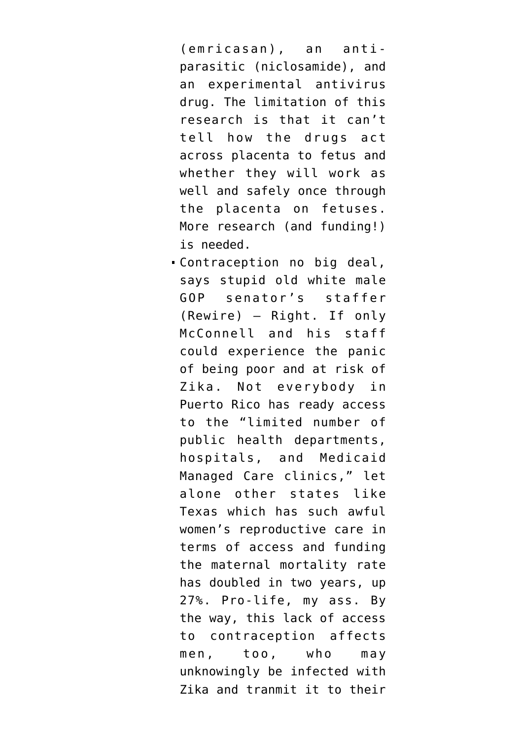(emricasan), an antiparasitic (niclosamide), and an experimental antivirus drug. The limitation of this research is that it can't tell how the drugs act across placenta to fetus and whether they will work as well and safely once through the placenta on fetuses. More research (and funding!) is needed.

[Contraception no big deal,](https://rewire.news/article/2016/08/25/contraception-access-not-really-issue-says-mcconnell-spokesperson/) [says stupid old white male](https://rewire.news/article/2016/08/25/contraception-access-not-really-issue-says-mcconnell-spokesperson/) [GOP senator's staffer](https://rewire.news/article/2016/08/25/contraception-access-not-really-issue-says-mcconnell-spokesperson/) (Rewire) — Right. If only McConnell and his staff could experience the panic of being poor and at risk of Zika. Not everybody in Puerto Rico has ready access to the "limited number of public health departments, hospitals, and Medicaid Managed Care clinics," let alone other states like Texas which has such awful women's reproductive care in terms of access and funding the [maternal mortality rate](https://www.theguardian.com/us-news/2016/aug/20/texas-maternal-mortality-rate-health-clinics-funding) [has doubled in two years,](https://www.theguardian.com/us-news/2016/aug/20/texas-maternal-mortality-rate-health-clinics-funding) up 27%. Pro-life, my ass. By the way, this lack of access to contraception affects men, too, who may unknowingly be infected with Zika and tranmit it to their